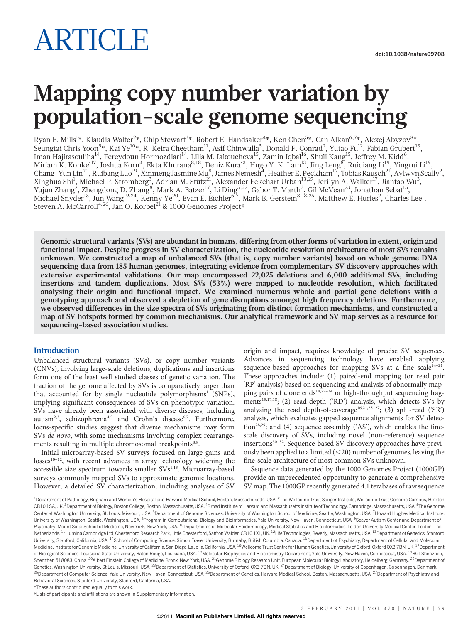# Mapping copy number variation by population-scale genome sequencing

Ryan E. Mills<sup>1</sup>\*, Klaudia Walter<sup>2</sup>\*, Chip Stewart<sup>3</sup>\*, Robert E. Handsaker<sup>4</sup>\*, Ken Chen<sup>5</sup>\*, Can Alkan<sup>6,7</sup>\*, Alexej Abyzov<sup>8</sup>\*, Seungtai Chris Yoon $^{9*}$ , Kai Ye $^{10*}$ , R. Keira Cheetham $^{11}$ , Asif Chinwalla $^5$ , Donald F. Conrad $^2$ , Yutao Fu $^{12}$ , Fabian Grubert $^{13}$ , Iman Hajirasouliha<sup>14</sup>, Fereydoun Hormozdiari<sup>14</sup>, Lilia M. Iakoucheva<sup>15</sup>, Zamin Iqbal<sup>16</sup>, Shuli Kang<sup>15</sup>, Jeffrey M. Kidd<sup>6</sup>, Miriam K. Konkel<sup>17</sup>, Joshua Korn<sup>4</sup>, Ekta Khurana<sup>8,18</sup>, Deniz Kural<sup>3</sup>, Hugo Y. K. Lam<sup>13</sup>, Jing Leng<sup>8</sup>, Ruiqiang Li<sup>19</sup>, Yingrui Li<sup>19</sup>, Chang-Yun Lin<sup>20</sup>, Ruibang Luo<sup>19</sup>, Xinmeng Jasmine Mu<sup>8</sup>, James Nemesh<sup>4</sup>, Heather E. Peckham<sup>12</sup>, Tobias Rausch<sup>21</sup>, Aylwyn Scally<sup>2</sup>, Xinghua Shi<sup>1</sup>, Michael P. Stromberg<sup>3</sup>, Adrian M. Stütz<sup>21</sup>, Alexander Eckehart Urban<sup>13,27</sup>, Jerilyn A. Walker<sup>17</sup>, Jiantao Wu<sup>3</sup>, Yujun Zhang<sup>2</sup>, Zhengdong D. Zhang<sup>8</sup>, Mark A. Batzer<sup>17</sup>, Li Ding<sup>5,22</sup>, Gabor T. Marth<sup>3</sup>, Gil McVean<sup>23</sup>, Jonathan Sebat<sup>15</sup>, Michael Snyder<sup>13</sup>, Jun Wang<sup>19,24</sup>, Kenny Ye<sup>20</sup>, Evan E. Eichler<sup>6,7</sup>, Mark B. Gerstein<sup>8,18,25</sup>, Matthew E. Hurles<sup>2</sup>, Charles Lee<sup>1</sup>, Steven A. McCarroll<sup>4,26</sup>, Jan O. Korbel<sup>21</sup> & 1000 Genomes Project†

Genomic structural variants (SVs) are abundant in humans, differing from other forms of variation in extent, origin and functional impact. Despite progress in SV characterization, the nucleotide resolution architecture of most SVs remains unknown. We constructed a map of unbalanced SVs (that is, copy number variants) based on whole genome DNA sequencing data from 185 human genomes, integrating evidence from complementary SV discovery approaches with extensive experimental validations. Our map encompassed 22,025 deletions and 6,000 additional SVs, including insertions and tandem duplications. Most SVs (53%) were mapped to nucleotide resolution, which facilitated analysing their origin and functional impact. We examined numerous whole and partial gene deletions with a genotyping approach and observed a depletion of gene disruptions amongst high frequency deletions. Furthermore, we observed differences in the size spectra of SVs originating from distinct formation mechanisms, and constructed a map of SV hotspots formed by common mechanisms. Our analytical framework and SV map serves as a resource for sequencing-based association studies.

# Introduction

Unbalanced structural variants (SVs), or copy number variants (CNVs), involving large-scale deletions, duplications and insertions form one of the least well studied classes of genetic variation. The fraction of the genome affected by SVs is comparatively larger than that accounted for by single nucleotide polymorphisms<sup>1</sup> (SNPs), implying significant consequences of SVs on phenotypic variation. SVs have already been associated with diverse diseases, including autism<sup>2,3</sup>, schizophrenia<sup>4,5</sup> and Crohn's disease<sup>6,7</sup>. Furthermore, locus-specific studies suggest that diverse mechanisms may form SVs de novo, with some mechanisms involving complex rearrangements resulting in multiple chromosomal breakpoints<sup>8,9</sup>.

Initial microarray-based SV surveys focused on large gains and  $losses<sup>10-12</sup>$ , with recent advances in array technology widening the accessible size spectrum towards smaller SVs<sup>1,13</sup>. Microarray-based surveys commonly mapped SVs to approximate genomic locations. However, a detailed SV characterization, including analyses of SV origin and impact, requires knowledge of precise SV sequences. Advances in sequencing technology have enabled applying sequence-based approaches for mapping SVs at a fine scale $14-21$ . These approaches include: (1) paired-end mapping (or read pair 'RP' analysis) based on sequencing and analysis of abnormally mapping pairs of clone ends<sup>14,22-24</sup> or high-throughput sequencing fragments<sup>15,17,18</sup>; (2) read-depth ('RD') analysis, which detects SVs by analysing the read depth-of-coverage<sup>16,21,25-27</sup>; (3) split-read ('SR<sup>'</sup>) analysis, which evaluates gapped sequence alignments for SV detection<sup>28,29</sup>; and (4) sequence assembly ('AS'), which enables the finescale discovery of SVs, including novel (non-reference) sequence insertions<sup>30-32</sup>. Sequence-based SV discovery approaches have previously been applied to a limited  $(<20$ ) number of genomes, leaving the fine-scale architecture of most common SVs unknown.

Sequence data generated by the 1000 Genomes Project (1000GP) provide an unprecedented opportunity to generate a comprehensive SV map. The 1000GP recently generated 4.1 terabases of raw sequence

<sup>1</sup>Department of Pathology, Brigham and Women's Hospital and Harvard Medical School, Boston, Massachusetts, USA. <sup>2</sup>The Wellcome Trust Sanger Institute, Wellcome Trust Genome Campus, Hinxtor CB101SA, UK. <sup>3</sup>Department of Biology, Boston College, Boston, Massachusetts, USA. <sup>4</sup>Broad Institute of Harvard and Massachusetts Institute of Technology, Cambridge, Massachusetts, USA. <sup>5</sup>The Genome Center at Washington University, St. Louis, Missouri, USA. <sup>6</sup>Department of Genome Sciences, University of Washington School of Medicine, Seattle, Washington, USA. <sup>7</sup>Howard Hughes Medical Institute, University of Washington, Seattle, Washington, USA. <sup>8</sup>Program in Computational Biology and Bioinformatics, Yale University, New Haven, Connecticut, USA. <sup>9</sup>Seaver Autism Center and Department of Psychiatry, Mount Sinai School of Medicine, New York, New York, USA. <sup>10</sup>Departments of Molecular Epidemiology, Medical Statistics and Bioinformatics, Leiden University Medical Center, Leiden, The Netherlands.<sup>11</sup>Illumina Cambridge Ltd, Chesterford Research Park, Little Chesterford, Saffron Walden CB10 1XL, UK.<sup>12</sup>Life Technologies, Beverly, Massachusetts, USA.<sup>13</sup>Department of Genetics, Stanford University, Stanford, California, USA. <sup>14</sup>School of Computing Science, Simon Fraser University, Burnaby, British Columbia, Canada. <sup>15</sup>Department of Psychiatry, Department of Cellular and Molecular Medicine, Institute for Genomic Medicine, University of California, San Diego, La Jolla, California, USA. <sup>16</sup>Wellcome Trust Centre for Human Genetics, University of Oxford, Oxford OX3 7BN, UK. <sup>17</sup>Department of Biological Sciences, Louisiana State University, Baton Rouge, Louisiana, USA. <sup>18</sup>Molecular Biophysics and Biochemistry Department, Yale University, New Haven, Connecticut, USA. <sup>19</sup>BGI-Shenzhen, Shenzhen 518083, China. <sup>20</sup>Albert Einstein College of Medicine, Bronx, New York, USA. <sup>21</sup>Genome Biology Research Unit, European Molecular Biology Laboratory, Heidelberg, Germany. <sup>22</sup>Department of Genetics, Washington University, St Louis, Missouri, USA. <sup>23</sup>Department of Statistics, University of Oxford, OX3 7BN, UK. <sup>24</sup>Department of Biology, University of Copenhagen, Copenhagen, Denmark. <sup>25</sup>Department of Computer Science, Yale University, New Haven, Connecticut, USA. <sup>26</sup>Department of Genetics, Harvard Medical School, Boston, Massachusetts, USA. <sup>27</sup>Department of Psychiatry and Behavioral Sciences, Stanford University, Stanford, California, USA.

\*These authors contributed equally to this work.

{Lists of participants and affiliations are shown in Supplementary Information.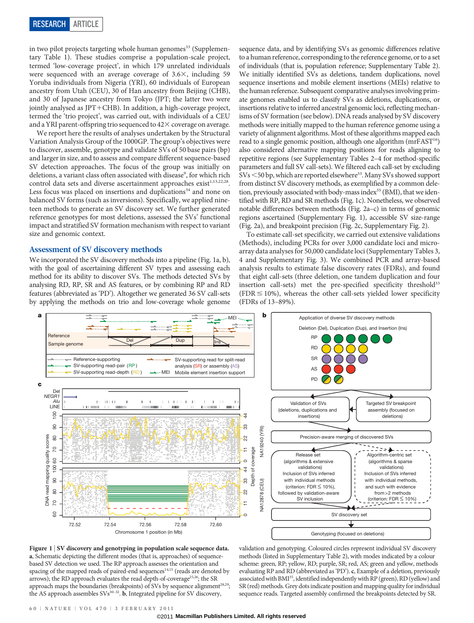in two pilot projects targeting whole human genomes<sup>33</sup> (Supplementary Table 1). These studies comprise a population-scale project, termed 'low-coverage project', in which 179 unrelated individuals were sequenced with an average coverage of  $3.6\times$ , including 59 Yoruba individuals from Nigeria (YRI), 60 individuals of European ancestry from Utah (CEU), 30 of Han ancestry from Beijing (CHB), and 30 of Japanese ancestry from Tokyo (JPT; the latter two were jointly analysed as  $JPT+CHB$ ). In addition, a high-coverage project, termed the 'trio project', was carried out, with individuals of a CEU and a YRI parent-offspring trio sequenced to  $42\times$  coverage on average.

We report here the results of analyses undertaken by the Structural Variation Analysis Group of the 1000GP. The group's objectives were to discover, assemble, genotype and validate SVs of 50 base pairs (bp) and larger in size, and to assess and compare different sequence-based SV detection approaches. The focus of the group was initially on deletions, a variant class often associated with disease<sup>9</sup>, for which rich control data sets and diverse ascertainment approaches exist<sup>1,13,22,28</sup>. Less focus was placed on insertions and duplications<sup>34</sup> and none on balanced SV forms (such as inversions). Specifically, we applied nineteen methods to generate an SV discovery set. We further generated reference genotypes for most deletions, assessed the SVs' functional impact and stratified SV formation mechanism with respect to variant size and genomic context.

# Assessment of SV discovery methods

We incorporated the SV discovery methods into a pipeline (Fig. 1a, b), with the goal of ascertaining different SV types and assessing each method for its ability to discover SVs. The methods detected SVs by analysing RD, RP, SR and AS features, or by combining RP and RD features (abbreviated as 'PD'). Altogether we generated 36 SV call-sets by applying the methods on trio and low-coverage whole genome

sequence data, and by identifying SVs as genomic differences relative to a human reference, corresponding to the reference genome, or to a set of individuals (that is, population reference; Supplementary Table 2). We initially identified SVs as deletions, tandem duplications, novel sequence insertions and mobile element insertions (MEIs) relative to the human reference. Subsequent comparative analyses involving primate genomes enabled us to classify SVs as deletions, duplications, or insertions relative to inferred ancestral genomic loci, reflecting mechanisms of SV formation (see below). DNA reads analysed by SV discovery methods were initially mapped to the human reference genome using a variety of alignment algorithms. Most of these algorithms mapped each read to a single genomic position, although one algorithm (mrFAST<sup>16</sup>) also considered alternative mapping positions for reads aligning to repetitive regions (see Supplementary Tables 2–4 for method-specific parameters and full SV call-sets). We filtered each call-set by excluding SVs <50 bp, which are reported elsewhere<sup>33</sup>. Many SVs showed support from distinct SV discovery methods, as exemplified by a common deletion, previously associated with body-mass index<sup>35</sup> (BMI), that we identified with RP, RD and SR methods (Fig. 1c). Nonetheless, we observed notable differences between methods (Fig. 2a–c) in terms of genomic regions ascertained (Supplementary Fig. 1), accessible SV size-range (Fig. 2a), and breakpoint precision (Fig. 2c, Supplementary Fig. 2).

To estimate call-set specificity, we carried out extensive validations (Methods), including PCRs for over 3,000 candidate loci and microarray data analyses for 50,000 candidate loci (Supplementary Tables 3, 4 and Supplementary Fig. 3). We combined PCR and array-based analysis results to estimate false discovery rates (FDRs), and found that eight call-sets (three deletion, one tandem duplication and four insertion call-sets) met the pre-specified specificity threshold<sup>33</sup> (FDR  $\leq$  10%), whereas the other call-sets yielded lower specificity (FDRs of 13–89%).





validation and genotyping. Coloured circles represent individual SV discovery methods (listed in Supplementary Table 2), with modes indicated by a colour scheme: green, RP; yellow, RD; purple, SR; red, AS; green and yellow, methods evaluating RP and RD (abbreviated as 'PD'). c, Example of a deletion, previously associated with BMI<sup>35</sup>, identified independently with RP (green), RD (yellow) and SR (red) methods. Grey dots indicate position and mapping quality for individual sequence reads. Targeted assembly confirmed the breakpoints detected by SR.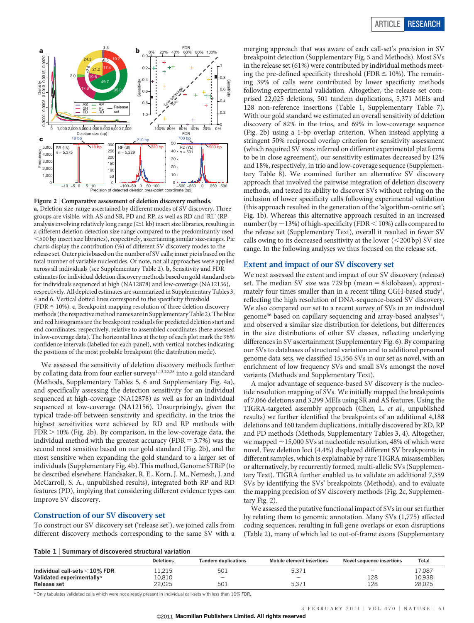

Figure 2 | Comparative assessment of deletion discovery methods. a, Deletion size-range ascertained by different modes of SV discovery. Three groups are visible, with AS and SR, PD and RP, as well as RD and 'RL' (RP analysis involving relatively long range  $(\geq 1 \text{ kb})$  insert size libraries, resulting in a different deletion detection size range compared to the predominantly used ,500 bp insert size libraries), respectively, ascertaining similar size-ranges. Pie charts display the contribution (%) of different SV discovery modes to the release set. Outer pie is based on the number of SV calls; inner pie is based on the total number of variable nucleotides. Of note, not all approaches were applied across all individuals (see Supplementary Table 2). b, Sensitivity and FDR estimates for individual deletion discovery methods based on gold standard sets for individuals sequenced at high (NA12878) and low-coverage (NA12156), respectively. All depicted estimates are summarized in Supplementary Tables 3, 4 and 6. Vertical dotted lines correspond to the specificity threshold (FDR  $\leq$  10%). c, Breakpoint mapping resolution of three deletion discovery methods (the respective method names are in Supplementary Table 2). The blue and red histograms are the breakpoint residuals for predicted deletion start and end coordinates, respectively, relative to assembled coordinates (here assessed in low-coverage data). The horizontal lines at the top of each plot mark the 98% confidence intervals (labelled for each panel), with vertical notches indicating the positions of the most probable breakpoint (the distribution mode).

We assessed the sensitivity of deletion discovery methods further by collating data from four earlier surveys<sup>1,13,22,28</sup> into a gold standard (Methods, Supplementary Tables 5, 6 and Supplementary Fig. 4a), and specifically assessing the detection sensitivity for an individual sequenced at high-coverage (NA12878) as well as for an individual sequenced at low-coverage (NA12156). Unsurprisingly, given the typical trade-off between sensitivity and specificity, in the trios the highest sensitivities were achieved by RD and RP methods with  $FDR > 10\%$  (Fig. 2b). By comparison, in the low-coverage data, the individual method with the greatest accuracy (FDR  $=$  3.7%) was the second most sensitive based on our gold standard (Fig. 2b), and the most sensitive when expanding the gold standard to a larger set of individuals (Supplementary Fig. 4b). This method, Genome STRiP (to be described elsewhere; Handsaker, R. E., Korn, J. M., Nemesh, J. and McCarroll, S. A., unpublished results), integrated both RP and RD features (PD), implying that considering different evidence types can improve SV discovery.

# Construction of our SV discovery set

To construct our SV discovery set ('release set'), we joined calls from different discovery methods corresponding to the same SV with a

merging approach that was aware of each call-set's precision in SV breakpoint detection (Supplementary Fig. 5 and Methods). Most SVs in the release set (61%) were contributed by individual methods meeting the pre-defined specificity threshold (FDR  $\leq$  10%). The remaining 39% of calls were contributed by lower specificity methods following experimental validation. Altogether, the release set comprised 22,025 deletions, 501 tandem duplications, 5,371 MEIs and 128 non-reference insertions (Table 1, Supplementary Table 7). With our gold standard we estimated an overall sensitivity of deletion discovery of 82% in the trios, and 69% in low-coverage sequence (Fig. 2b) using a 1-bp overlap criterion. When instead applying a stringent 50% reciprocal overlap criterion for sensitivity assessment (which required SV sizes inferred on different experimental platforms to be in close agreement), our sensitivity estimates decreased by 12% and 18%, respectively, in trio and low-coverage sequence (Supplementary Table 8). We examined further an alternative SV discovery approach that involved the pairwise integration of deletion discovery methods, and tested its ability to discover SVs without relying on the inclusion of lower specificity calls following experimental validation (this approach resulted in the generation of the 'algorithm-centric set'; Fig. 1b). Whereas this alternative approach resulted in an increased number (by  $\sim$  13%) of high-specificity (FDR < 10%) calls compared to the release set (Supplementary Text), overall it resulted in fewer SV calls owing to its decreased sensitivity at the lower  $(<200$  bp) SV size range. In the following analyses we thus focused on the release set.

# Extent and impact of our SV discovery set

We next assessed the extent and impact of our SV discovery (release) set. The median SV size was 729 bp (mean  $= 8$  kilobases), approximately four times smaller than in a recent tiling CGH-based study<sup>1</sup>, reflecting the high resolution of DNA-sequence-based SV discovery. We also compared our set to a recent survey of SVs in an individual genome<sup>36</sup> based on capillary sequencing and array-based analyses<sup>24</sup>, and observed a similar size distribution for deletions, but differences in the size distributions of other SV classes, reflecting underlying differences in SV ascertainment (Supplementary Fig. 6). By comparing our SVs to databases of structural variation and to additional personal genome data sets, we classified 15,556 SVs in our set as novel, with an enrichment of low frequency SVs and small SVs amongst the novel variants (Methods and Supplementary Text).

A major advantage of sequence-based SV discovery is the nucleotide resolution mapping of SVs. We initially mapped the breakpoints of 7,066 deletions and 3,299 MEIs using SR and AS features. Using the TIGRA-targeted assembly approach (Chen, L. et al., unpublished results) we further identified the breakpoints of an additional 4,188 deletions and 160 tandem duplications, initially discovered by RD, RP and PD methods (Methods, Supplementary Tables 3, 4). Altogether, we mapped  $\sim$  15,000 SVs at nucleotide resolution, 48% of which were novel. Few deletion loci (4.4%) displayed different SV breakpoints in different samples, which is explainable by rare TIGRA misassemblies, or alternatively, by recurrently formed, multi-allelic SVs (Supplementary Text). TIGRA further enabled us to validate an additional 7,359 SVs by identifying the SVs' breakpoints (Methods), and to evaluate the mapping precision of SV discovery methods (Fig. 2c, Supplementary Fig. 2).

We assessed the putative functional impact of SVs in our set further by relating them to genomic annotation. Many SVs (1,775) affected coding sequences, resulting in full gene overlaps or exon disruptions (Table 2), many of which led to out-of-frame exons (Supplementary

#### Table 1 <sup>|</sup> Summary of discovered structural variation

|                                  | <b>Deletions</b> | Tandem duplications | <b>Mobile element insertions</b> | Novel sequence insertions | Total  |
|----------------------------------|------------------|---------------------|----------------------------------|---------------------------|--------|
| Individual call-sets $<$ 10% FDR | 1,215            | 501                 | 5,371                            | $\overline{\phantom{a}}$  | 17,087 |
| Validated experimentally*        | 10,810           | $\sim$              | $\sim$                           | 128                       | 10,938 |
| <b>Release set</b>               | 22.025           | 501                 | 5.371                            | 128                       | 28.025 |

\* Only tabulates validated calls which were not already present in individual call-sets with less than 10% FDR.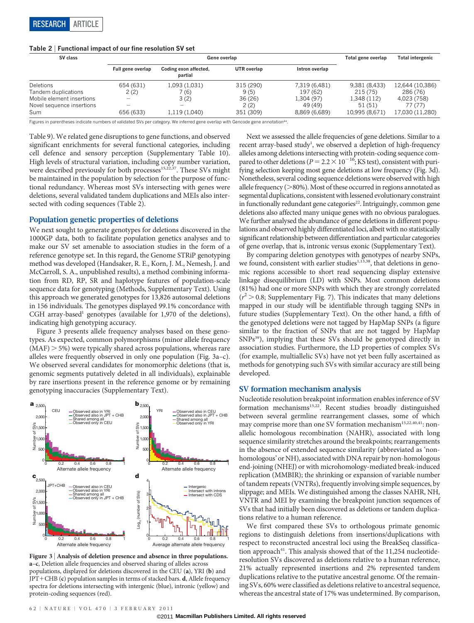## Table 2 <sup>|</sup> Functional impact of our fine resolution SV set

| SV class                  |                          | Gene overlap                     | Total gene overlap | <b>Total intergenic</b> |                |                 |
|---------------------------|--------------------------|----------------------------------|--------------------|-------------------------|----------------|-----------------|
|                           | Full gene overlap        | Coding exon affected,<br>partial | UTR overlap        | Intron overlap          |                |                 |
| <b>Deletions</b>          | 654 (631)                | 1,093 (1,031)                    | 315 (290)          | 7,319 (6,481)           | 9,381 (8,433)  | 12,644 (10,386) |
| Tandem duplications       | 2(2)                     | (6)                              | 9(5)               | 197 (62)                | 215(75)        | 286 (76)        |
| Mobile element insertions |                          | 3(2)                             | 36(26)             | 1,304 (97)              | 1.348 (112)    | 4,023 (758)     |
| Novel sequence insertions | $\overline{\phantom{a}}$ |                                  | 2(2)               | 49 (49)                 | 51 (51)        | 77 (77)         |
| Sum                       | 656 (633)                | 1,119 (1,040)                    | 351 (309)          | 8,869 (6,689)           | 10,995 (8,671) | 17,030 (11,280) |

Figures in parentheses indicate numbers of validated SVs per category. We inferred gene overlap with Gencode gene annotation<sup>44</sup>.

Table 9). We related gene disruptions to gene functions, and observed significant enrichments for several functional categories, including cell defence and sensory perception (Supplementary Table 10). High levels of structural variation, including copy number variation, were described previously for both processes<sup>15,22,37</sup>. These SVs might be maintained in the population by selection for the purpose of functional redundancy. Whereas most SVs intersecting with genes were deletions, several validated tandem duplications and MEIs also intersected with coding sequences (Table 2).

# Population genetic properties of deletions

We next sought to generate genotypes for deletions discovered in the 1000GP data, both to facilitate population genetics analyses and to make our SV set amenable to association studies in the form of a reference genotype set. In this regard, the Genome STRiP genotyping method was developed (Handsaker, R. E., Korn, J. M., Nemesh, J. and McCarroll, S. A., unpublished results), a method combining information from RD, RP, SR and haplotype features of population-scale sequence data for genotyping (Methods, Supplementary Text). Using this approach we generated genotypes for 13,826 autosomal deletions in 156 individuals. The genotypes displayed 99.1% concordance with CGH array-based<sup>1</sup> genotypes (available for  $1,970$  of the deletions), indicating high genotyping accuracy.

Figure 3 presents allele frequency analyses based on these genotypes. As expected, common polymorphisms (minor allele frequency  $(MAF)$   $>$  5%) were typically shared across populations, whereas rare alleles were frequently observed in only one population (Fig. 3a–c). We observed several candidates for monomorphic deletions (that is, genomic segments putatively deleted in all individuals), explainable by rare insertions present in the reference genome or by remaining genotyping inaccuracies (Supplementary Text).



Figure 3 | Analysis of deletion presence and absence in three populations. a–c, Deletion allele frequencies and observed sharing of alleles across populations, displayed for deletions discovered in the CEU (a), YRI (b) and  $JPT+CHB$  (c) population samples in terms of stacked bars. d, Allele frequency spectra for deletions intersecting with intergenic (blue), intronic (yellow) and protein-coding sequences (red).

Next we assessed the allele frequencies of gene deletions. Similar to a recent array-based study<sup>1</sup>, we observed a depletion of high-frequency alleles among deletions intersecting with protein-coding sequence compared to other deletions  $(P = 2.2 \times 10^{-16}$ ; KS test), consistent with purifying selection keeping most gene deletions at low frequency (Fig. 3d). Nonetheless, several coding sequence deletions were observed with high allele frequency ( $>$ 80%). Most of these occurred in regions annotated as segmental duplications, consistent with lessened evolutionary constraint in functionally redundant gene categories<sup>22</sup>. Intriguingly, common gene deletions also affected many unique genes with no obvious paralogues. We further analysed the abundance of gene deletions in different populations and observed highly differentiated loci, albeit with no statistically significant relationship between differentiation and particular categories of gene overlap, that is, intronic versus exonic (Supplementary Text).

By comparing deletion genotypes with genotypes of nearby SNPs, we found, consistent with earlier studies<sup>1,13,38</sup>, that deletions in genomic regions accessible to short read sequencing display extensive linkage disequilibrium (LD) with SNPs. Most common deletions (81%) had one or more SNPs with which they are strongly correlated  $(r^2 > 0.8;$  Supplementary Fig. 7). This indicates that many deletions mapped in our study will be identifiable through tagging SNPs in future studies (Supplementary Text). On the other hand, a fifth of the genotyped deletions were not tagged by HapMap SNPs (a figure similar to the fraction of SNPs that are not tagged by HapMap SNPs<sup>39</sup>), implying that these SVs should be genotyped directly in association studies. Furthermore, the LD properties of complex SVs (for example, multiallelic SVs) have not yet been fully ascertained as methods for genotyping such SVs with similar accuracy are still being developed.

# SV formation mechanism analysis

Nucleotide resolution breakpoint information enables inference of SV formation mechanisms<sup>15,22</sup>. Recent studies broadly distinguished between several germline rearrangement classes, some of which may comprise more than one SV formation mechanism<sup>15,22,40,41</sup>: nonallelic homologous recombination (NAHR), associated with long sequence similarity stretches around the breakpoints; rearrangements in the absence of extended sequence similarity (abbreviated as 'nonhomologous' or NH), associated with DNA repair by non-homologous end-joining (NHEJ) or with microhomology-mediated break-induced replication (MMBIR); the shrinking or expansion of variable number of tandem repeats (VNTRs), frequently involving simple sequences, by slippage; and MEIs. We distinguished among the classes NAHR, NH, VNTR and MEI by examining the breakpoint junction sequences of SVs that had initially been discovered as deletions or tandem duplications relative to a human reference.

We first compared these SVs to orthologous primate genomic regions to distinguish deletions from insertions/duplications with respect to reconstructed ancestral loci using the BreakSeq classification approach<sup>41</sup>. This analysis showed that of the 11,254 nucleotideresolution SVs discovered as deletions relative to a human reference, 21% actually represented insertions and 2% represented tandem duplications relative to the putative ancestral genome. Of the remaining SVs, 60% were classified as deletions relative to ancestral sequence, whereas the ancestral state of 17% was undetermined. By comparison,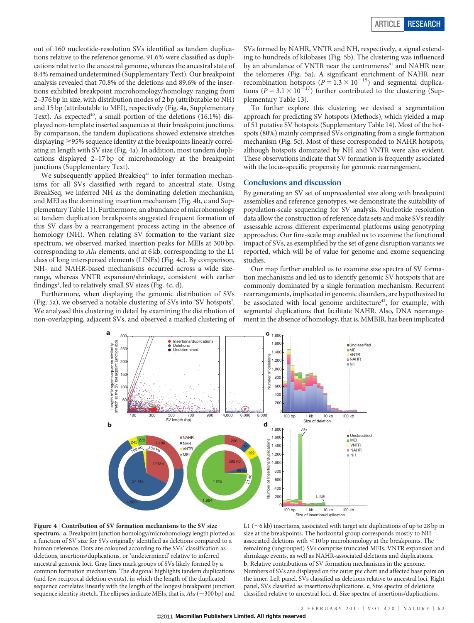out of 160 nucleotide-resolution SVs identified as tandem duplications relative to the reference genome, 91.6% were classified as duplications relative to the ancestral genome, whereas the ancestral state of 8.4% remained undetermined (Supplementary Text). Our breakpoint analysis revealed that 70.8% of the deletions and 89.6% of the insertions exhibited breakpoint microhomology/homology ranging from 2–376 bp in size, with distribution modes of 2 bp (attributable to NH) and 15 bp (attributable to MEI), respectively (Fig. 4a, Supplementary Text). As expected<sup>40</sup>, a small portion of the deletions  $(16.1\%)$  displayed non-template inserted sequences at their breakpoint junctions. By comparison, the tandem duplications showed extensive stretches displaying  $\geq$ 95% sequence identity at the breakpoints linearly correlating in length with SV size (Fig. 4a). In addition, most tandem duplications displayed 2–17 bp of microhomology at the breakpoint junctions (Supplementary Text).

We subsequently applied BreakSeq<sup>41</sup> to infer formation mechanisms for all SVs classified with regard to ancestral state. Using BreakSeq, we inferred NH as the dominating deletion mechanism, and MEI as the dominating insertion mechanism (Fig. 4b, c and Supplementary Table 11). Furthermore, an abundance of microhomology at tandem duplication breakpoints suggested frequent formation of this SV class by a rearrangement process acting in the absence of homology (NH). When relating SV formation to the variant size spectrum, we observed marked insertion peaks for MEIs at 300 bp, corresponding to Alu elements, and at 6 kb, corresponding to the L1 class of long interspersed elements (LINEs) (Fig. 4c). By comparison, NH- and NAHR-based mechanisms occurred across a wide sizerange, whereas VNTR expansion/shrinkage, consistent with earlier findings<sup>1</sup>, led to relatively small SV sizes (Fig. 4c, d).

Furthermore, when displaying the genomic distribution of SVs (Fig. 5a), we observed a notable clustering of SVs into 'SV hotspots'. We analysed this clustering in detail by examining the distribution of non-overlapping, adjacent SVs, and observed a marked clustering of

SVs formed by NAHR, VNTR and NH, respectively, a signal extending to hundreds of kilobases (Fig. 5b). The clustering was influenced by an abundance of VNTR near the centromeres<sup>41</sup> and NAHR near the telomeres (Fig. 5a). A significant enrichment of NAHR near recombination hotspots ( $P = 1.3 \times 10^{-15}$ ) and segmental duplications ( $P = 3.1 \times 10^{-17}$ ) further contributed to the clustering (Supplementary Table 13).

To further explore this clustering we devised a segmentation approach for predicting SV hotspots (Methods), which yielded a map of 51 putative SV hotspots (Supplementary Table 14). Most of the hotspots (80%) mainly comprised SVs originating from a single formation mechanism (Fig. 5c). Most of these corresponded to NAHR hotspots, although hotspots dominated by NH and VNTR were also evident. These observations indicate that SV formation is frequently associated with the locus-specific propensity for genomic rearrangement.

# Conclusions and discussion

By generating an SV set of unprecedented size along with breakpoint assemblies and reference genotypes, we demonstrate the suitability of population-scale sequencing for SV analysis. Nucleotide resolution data allow the construction of reference data sets and make SVs readily assessable across different experimental platforms using genotyping approaches. Our fine-scale map enabled us to examine the functional impact of SVs, as exemplified by the set of gene disruption variants we reported, which will be of value for genome and exome sequencing studies.

Our map further enabled us to examine size spectra of SV formation mechanisms and led us to identify genomic SV hotspots that are commonly dominated by a single formation mechanism. Recurrent rearrangements, implicated in genomic disorders, are hypothesized to be associated with local genome architecture<sup>42</sup>, for example, with segmental duplications that facilitate NAHR. Also, DNA rearrangement in the absence of homology, that is, MMBIR, has been implicated





L1 (  $\sim$  6 kb) insertions, associated with target site duplications of up to 28 bp in size at the breakpoints. The horizontal group corresponds mostly to NHassociated deletions with  $\leq$ 10 bp microhomology at the breakpoints. The remaining (ungrouped) SVs comprise truncated MEIs, VNTR expansion and shrinkage events, as well as NAHR-associated deletions and duplications. b, Relative contributions of SV formation mechanisms in the genome. Numbers of SVs are displayed on the outer pie chart and affected base pairs on the inner. Left panel, SVs classified as deletions relative to ancestral loci. Right panel, SVs classified as insertions/duplications. c, Size spectra of deletions classified relative to ancestral loci. d, Size spectra of insertions/duplications.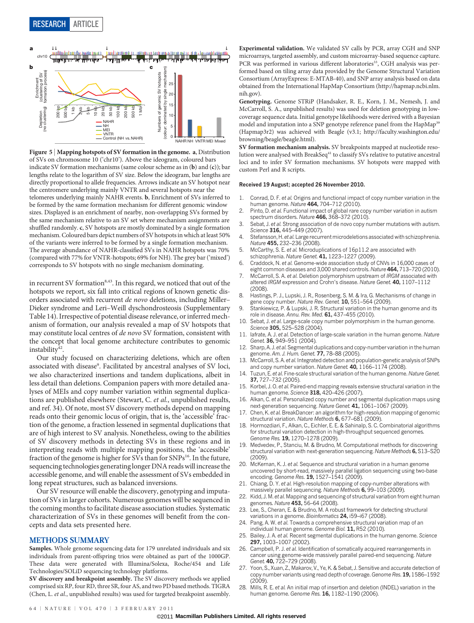

Figure 5 <sup>|</sup> Mapping hotspots of SV formation in the genome. a, Distribution of SVs on chromosome 10 ('chr10'). Above the ideogram, coloured bars indicate SV formation mechanisms (same colour scheme as in (b) and (c)); bar lengths relate to the logarithm of SV size. Below the ideogram, bar lengths are directly proportional to allele frequencies. Arrows indicate an SV hotspot near the centromere underlying mainly VNTR and several hotspots near the telomeres underlying mainly NAHR events. b, Enrichment of SVs inferred to be formed by the same formation mechanism for different genomic window sizes. Displayed is an enrichment of nearby, non-overlapping SVs formed by the same mechanism relative to an SV set where mechanism assignments are shuffled randomly. c, SV hotspots are mostly dominated by a single formation mechanism. Coloured bars depict numbers of SV hotspots in which at least 50% of the variants were inferred to be formed by a single formation mechanism. The average abundance of NAHR-classified SVs in NAHR hotspots was 70% (compared with 77% for VNTR-hotspots; 69% for NH). The grey bar ('mixed') corresponds to SV hotspots with no single mechanism dominating.

in recurrent SV formation<sup>8,43</sup>. In this regard, we noticed that out of the hotspots we report, six fall into critical regions of known genetic disorders associated with recurrent de novo deletions, including Miller– Dieker syndrome and Leri–Weill dyschondrosteosis (Supplementary Table 14). Irrespective of potential disease relevance, or inferred mechanism of formation, our analysis revealed a map of SV hotspots that may constitute local centres of de novo SV formation, consistent with the concept that local genome architecture contributes to genomic instability<sup>42</sup>.

Our study focused on characterizing deletions, which are often associated with disease<sup>9</sup>. Facilitated by ancestral analyses of SV loci, we also characterized insertions and tandem duplications, albeit in less detail than deletions. Companion papers with more detailed analyses of MEIs and copy number variation within segmental duplications are published elsewhere (Stewart, C. et al., unpublished results, and ref. 34). Of note, most SV discovery methods depend on mapping reads onto their genomic locus of origin, that is, the 'accessible' fraction of the genome, a fraction lessened in segmental duplications that are of high interest to SV analysis. Nonetheless, owing to the abilities of SV discovery methods in detecting SVs in these regions and in interpreting reads with multiple mapping positions, the 'accessible' fraction of the genome is higher for SVs than for SNPs<sup>16</sup>. In the future, sequencing technologies generating longer DNA reads will increase the accessible genome, and will enable the assessment of SVs embedded in long repeat structures, such as balanced inversions.

Our SV resource will enable the discovery, genotyping and imputation of SVs in larger cohorts. Numerous genomes will be sequenced in the coming months to facilitate disease association studies. Systematic characterization of SVs in these genomes will benefit from the concepts and data sets presented here.

## METHODS SUMMARY

Samples. Whole genome sequencing data for 179 unrelated individuals and six individuals from parent-offspring trios were obtained as part of the 1000GP. These data were generated with Illumina/Solexa, Roche/454 and Life Technologies/SOLiD sequencing technology platforms.

SV discovery and breakpoint assembly. The SV discovery methods we applied comprised six RP, four RD, three SR, four AS, and two PD based methods. TIGRA (Chen, L. et al., unpublished results) was used for targeted breakpoint assembly.

Experimental validation. We validated SV calls by PCR, array CGH and SNP microarrays, targeted assembly, and custom microarray-based sequence capture. PCR was performed in various different laboratories<sup>33</sup>, CGH analysis was performed based on tiling array data provided by the Genome Structural Variation Consortium (ArrayExpress: E-MTAB-40), and SNP array analysis based on data obtained from the International HapMap Consortium [\(http://hapmap.ncbi.nlm.](http://hapmap.ncbi.nlm.nih.gov) [nih.gov](http://hapmap.ncbi.nlm.nih.gov)).

Genotyping. Genome STRiP (Handsaker, R. E., Korn, J. M., Nemesh, J. and McCarroll, S. A., unpublished results) was used for deletion genotyping in lowcoverage sequence data. Initial genotype likelihoods were derived with a Bayesian model and imputation into a SNP genotype reference panel from the HapMap<sup>39</sup> (Hapmap3r2) was achieved with Beagle (v3.1; [http://faculty.washington.edu/](http://faculty.washington.edu/browning/beagle/beagle.html) [browning/beagle/beagle.html](http://faculty.washington.edu/browning/beagle/beagle.html)).

SV formation mechanism analysis. SV breakpoints mapped at nucleotide resolution were analysed with BreakSeq<sup>41</sup> to classify SVs relative to putative ancestral loci and to infer SV formation mechanisms. SV hotspots were mapped with custom Perl and R scripts.

#### Received 19 August; accepted 26 November 2010.

- 1. Conrad, D. F. et al. Origins and functional impact of copy number variation in the human genome. Nature 464, 704–712 (2010).
- Pinto, D. et al. Functional impact of global rare copy number variation in autism spectrum disorders. Nature 466, 368–372 (2010).
- 3. Sebat, J. et al. Strong association of de novo copy number mutations with autism. Science 316, 445-449 (2007).
- Stefansson, H. et al. Large recurrent microdeletions associated with schizophrenia. Nature 455, 232–236 (2008).
- 5. McCarthy, S. E. et al. Microduplications of 16p11.2 are associated with schizophrenia. Nature Genet. 41, 1223–1227 (2009).
- 6. Craddock, N. et al. Genome-wide association study of CNVs in 16,000 cases of eight common diseases and 3,000 shared controls. Nature 464, 713-720 (2010).
- McCarroll, S. A. et al. Deletion polymorphism upstream of IRGM associated with altered IRGM expression and Crohn's disease. Nature Genet. 40, 1107–1112 (2008).
- 8. Hastings, P. J., Lupski, J. R., Rosenberg, S. M. & Ira, G. Mechanisms of change in gene copy number. Nature Rev. Genet. 10, 551–564 (2009).
- 9. Stankiewicz, P. & Lupski, J. R. Structural variation in the human genome and its role in disease. Annu. Rev. Med. 61, 437-455 (2010).
- Sebat, J. et al. Large-scale copy number polymorphism in the human genome. Science **305,** 525–528 (2004).
- 11. Iafrate, A. J. et al. Detection of large-scale variation in the human genome. Nature Genet. 36, 949-951 (2004).
- Sharp, A. J. et al. Segmental duplications and copy-number variation in the human genome. Am. J. Hum. Genet. 77, 78–88 (2005).
- 13. McCarroll, S. A. et al. Integrated detection and population-genetic analysis of SNPs and copy number variation. Nature Genet. 40, 1166-1174 (2008)
- Tuzun, E. et al. Fine-scale structural variation of the human genome. Nature Genet. 37, 727–732 (2005).
- 15. Korbel, J. O. et al. Paired-end mapping reveals extensive structural variation in the human genome. Science 318, 420-426 (2007).
- 16. Alkan, C. et al. Personalized copy number and segmental duplication maps using next-generation sequencing. Nature Genet. 41, 1061-1067 (2009).
- 17. Chen, K. et al. BreakDancer: an algorithm for high-resolution mapping of genomic structural variation. Nature Methods 6, 677-681 (2009).
- 18. Hormozdiari, F., Alkan, C., Eichler, E. E. & Sahinalp, S. C. Combinatorial algorithms for structural variation detection in high-throughput sequenced genomes. Genome Res. 19, 1270-1278 (2009).
- 19. Medvedev, P., Stanciu, M. & Brudno, M. Computational methods for discovering structural variation with next-generation sequencing. Nature Methods 6, S13–S20 (2009).
- 20. McKernan, K. J. et al. Sequence and structural variation in a human genome uncovered by short-read, massively parallel ligation sequencing using two-base encoding. Genome Res. 19, 1527–1541 (2009).
- Chiang, D. Y. et al. High-resolution mapping of copy-number alterations with massively parallel sequencing. Nature Methods 6, 99–103 (2009).
- 22. Kidd, J. M. et al. Mapping and sequencing of structural variation from eight human genomes. Nature 453, 56–64 (2008).
- 23. Lee, S., Cheran, E. & Brudno, M. A robust framework for detecting structural variations in a genome. Bioinformatics 24, i59-i67 (2008).
- 24. Pang, A. W. et al. Towards a comprehensive structural variation map of an individual human genome. Genome Biol. 11, R52 (2010).
- 25. Bailey, J. A. et al. Recent segmental duplications in the human genome. Science 297, 1003–1007 (2002).
- 26. Campbell, P. J. et al. Identification of somatically acquired rearrangements in cancer using genome-wide massively parallel paired-end sequencing. Nature Genet. 40, 722-729 (2008).
- 27. Yoon, S., Xuan, Z., Makarov, V., Ye, K. & Sebat, J. Sensitive and accurate detection of copy number variants using read depth of coverage. Genome Res. 19, 1586–1592 (2009).
- 28. Mills, R. E. et al. An initial map of insertion and deletion (INDEL) variation in the human genome. Genome Res. 16, 1182–1190 (2006).